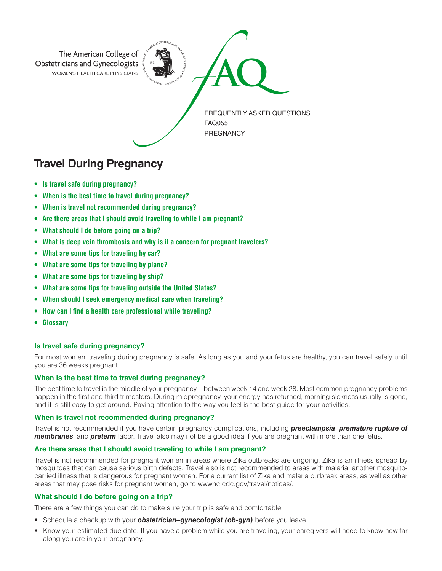

# **Travel During Pregnancy**

- **• Is travel safe during pregnancy?**
- **• When is the best time to travel during pregnancy?**
- **• When is travel not recommended during pregnancy?**
- **• Are there areas that I should avoid traveling to while I am pregnant?**
- **• What should I do before going on a trip?**
- **• What is deep vein thrombosis and why is it a concern for pregnant travelers?**
- **• What are some tips for traveling by car?**
- **• What are some tips for traveling by plane?**
- **• What are some tips for traveling by ship?**
- **• What are some tips for traveling outside the United States?**
- **• When should I seek emergency medical care when traveling?**
- **• How can I find a health care professional while traveling?**
- **Glossary**

# **Is travel safe during pregnancy?**

For most women, traveling during pregnancy is safe. As long as you and your fetus are healthy, you can travel safely until you are 36 weeks pregnant.

# **When is the best time to travel during pregnancy?**

The best time to travel is the middle of your pregnancy—between week 14 and week 28. Most common pregnancy problems happen in the first and third trimesters. During midpregnancy, your energy has returned, morning sickness usually is gone, and it is still easy to get around. Paying attention to the way you feel is the best guide for your activities.

# **When is travel not recommended during pregnancy?**

Travel is not recommended if you have certain pregnancy complications, including *preeclampsia*, *premature rupture of membranes*, and *preterm* labor. Travel also may not be a good idea if you are pregnant with more than one fetus.

# **Are there areas that I should avoid traveling to while I am pregnant?**

Travel is not recommended for pregnant women in areas where Zika outbreaks are ongoing. Zika is an illness spread by mosquitoes that can cause serious birth defects. Travel also is not recommended to areas with malaria, another mosquitocarried illness that is dangerous for pregnant women. For a current list of Zika and malaria outbreak areas, as well as other areas that may pose risks for pregnant women, go to wwwnc.cdc.gov/travel/notices/.

# **What should I do before going on a trip?**

There are a few things you can do to make sure your trip is safe and comfortable:

- Schedule a checkup with your *obstetrician–gynecologist (ob-gyn)* before you leave.
- Know your estimated due date. If you have a problem while you are traveling, your caregivers will need to know how far along you are in your pregnancy.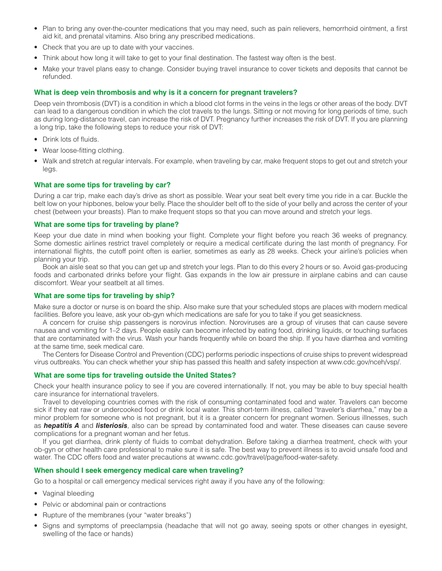- Plan to bring any over-the-counter medications that you may need, such as pain relievers, hemorrhoid ointment, a first aid kit, and prenatal vitamins. Also bring any prescribed medications.
- Check that you are up to date with your vaccines.
- Think about how long it will take to get to your final destination. The fastest way often is the best.
- Make your travel plans easy to change. Consider buying travel insurance to cover tickets and deposits that cannot be refunded.

#### **What is deep vein thrombosis and why is it a concern for pregnant travelers?**

Deep vein thrombosis (DVT) is a condition in which a blood clot forms in the veins in the legs or other areas of the body. DVT can lead to a dangerous condition in which the clot travels to the lungs. Sitting or not moving for long periods of time, such as during long-distance travel, can increase the risk of DVT. Pregnancy further increases the risk of DVT. If you are planning a long trip, take the following steps to reduce your risk of DVT:

- Drink lots of fluids.
- Wear loose-fitting clothing.
- Walk and stretch at regular intervals. For example, when traveling by car, make frequent stops to get out and stretch your legs.

#### **What are some tips for traveling by car?**

During a car trip, make each day's drive as short as possible. Wear your seat belt every time you ride in a car. Buckle the belt low on your hipbones, below your belly. Place the shoulder belt off to the side of your belly and across the center of your chest (between your breasts). Plan to make frequent stops so that you can move around and stretch your legs.

#### **What are some tips for traveling by plane?**

Keep your due date in mind when booking your flight. Complete your flight before you reach 36 weeks of pregnancy. Some domestic airlines restrict travel completely or require a medical certificate during the last month of pregnancy. For international flights, the cutoff point often is earlier, sometimes as early as 28 weeks. Check your airline's policies when planning your trip.

Book an aisle seat so that you can get up and stretch your legs. Plan to do this every 2 hours or so. Avoid gas-producing foods and carbonated drinks before your flight. Gas expands in the low air pressure in airplane cabins and can cause discomfort. Wear your seatbelt at all times.

# **What are some tips for traveling by ship?**

Make sure a doctor or nurse is on board the ship. Also make sure that your scheduled stops are places with modern medical facilities. Before you leave, ask your ob-gyn which medications are safe for you to take if you get seasickness.

A concern for cruise ship passengers is norovirus infection. Noroviruses are a group of viruses that can cause severe nausea and vomiting for 1–2 days. People easily can become infected by eating food, drinking liquids, or touching surfaces that are contaminated with the virus. Wash your hands frequently while on board the ship. If you have diarrhea and vomiting at the same time, seek medical care.

The Centers for Disease Control and Prevention (CDC) performs periodic inspections of cruise ships to prevent widespread virus outbreaks. You can check whether your ship has passed this health and safety inspection at www.cdc.gov/nceh/vsp/.

#### **What are some tips for traveling outside the United States?**

Check your health insurance policy to see if you are covered internationally. If not, you may be able to buy special health care insurance for international travelers.

Travel to developing countries comes with the risk of consuming contaminated food and water. Travelers can become sick if they eat raw or undercooked food or drink local water. This short-term illness, called "traveler's diarrhea," may be a minor problem for someone who is not pregnant, but it is a greater concern for pregnant women. Serious illnesses, such as *hepatitis A* and *listeriosis*, also can be spread by contaminated food and water. These diseases can cause severe complications for a pregnant woman and her fetus.

If you get diarrhea, drink plenty of fluids to combat dehydration. Before taking a diarrhea treatment, check with your ob-gyn or other health care professional to make sure it is safe. The best way to prevent illness is to avoid unsafe food and water. The CDC offers food and water precautions at wwwnc.cdc.gov/travel/page/food-water-safety.

# **When should I seek emergency medical care when traveling?**

Go to a hospital or call emergency medical services right away if you have any of the following:

- Vaginal bleeding
- Pelvic or abdominal pain or contractions
- Rupture of the membranes (your "water breaks")
- Signs and symptoms of preeclampsia (headache that will not go away, seeing spots or other changes in eyesight, swelling of the face or hands)